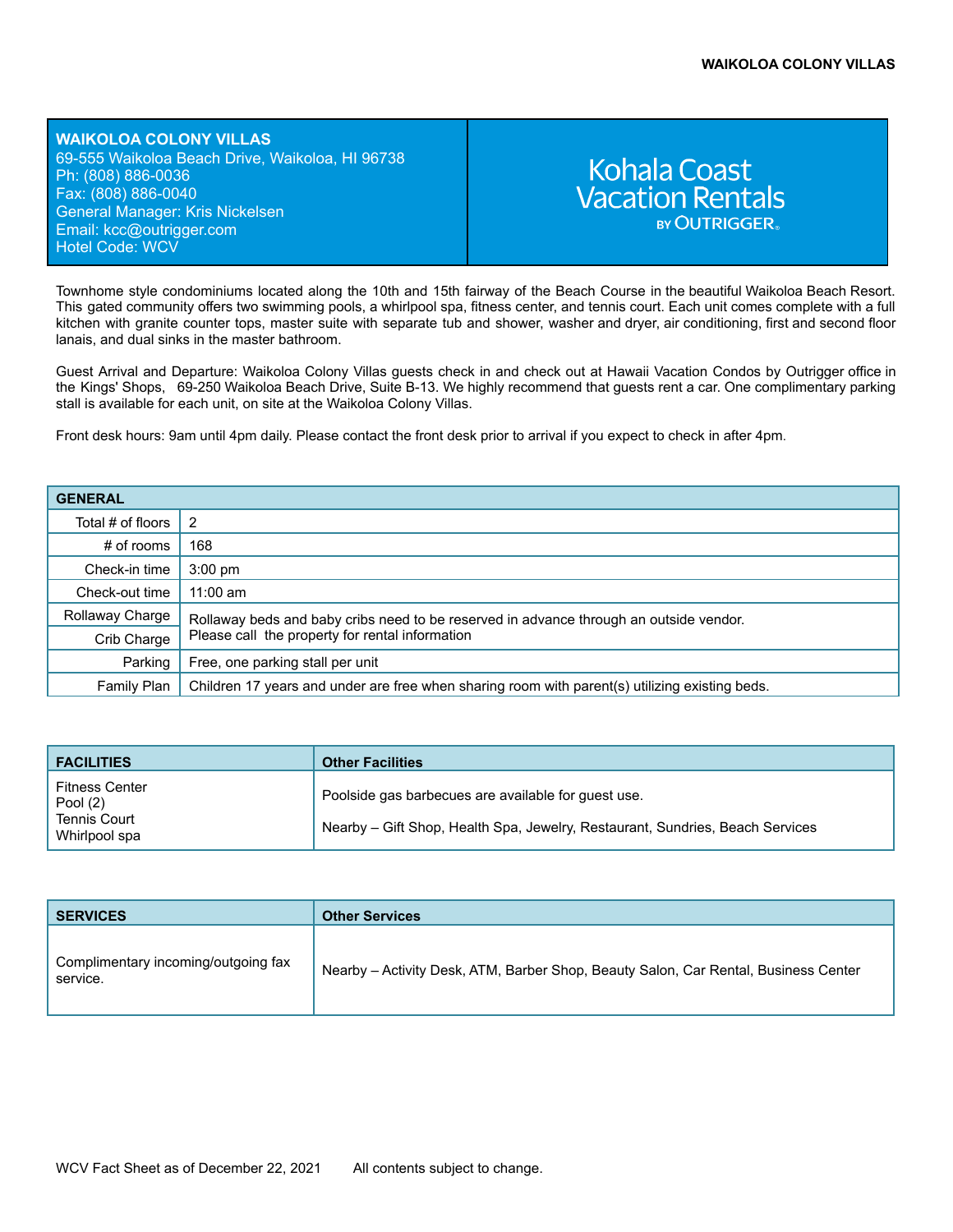**WAIKOLOA COLONY VILLAS** 69-555 Waikoloa Beach Drive, Waikoloa, HI 96738 Ph: (808) 886-0036 Fax: (808) 886-0040 General Manager: Kris Nickelsen Email: kcc[@outrigger.com](mailto:orf@outrigger.com) Hotel Code: WCV

# **Kohala Coast Vacation Rentals BY OUTRIGGER**

Townhome style condominiums located along the 10th and 15th fairway of the Beach Course in the beautiful Waikoloa Beach Resort. This gated community offers two swimming pools, a whirlpool spa, fitness center, and tennis court. Each unit comes complete with a full kitchen with granite counter tops, master suite with separate tub and shower, washer and dryer, air conditioning, first and second floor lanais, and dual sinks in the master bathroom.

Guest Arrival and Departure: Waikoloa Colony Villas guests check in and check out at Hawaii Vacation Condos by Outrigger office in the Kings' Shops, 69-250 Waikoloa Beach Drive, Suite B-13. We highly recommend that guests rent a car. One complimentary parking stall is available for each unit, on site at the Waikoloa Colony Villas.

Front desk hours: 9am until 4pm daily. Please contact the front desk prior to arrival if you expect to check in after 4pm.

| <b>GENERAL</b>    |                                                                                                |  |
|-------------------|------------------------------------------------------------------------------------------------|--|
| Total # of floors |                                                                                                |  |
| $#$ of rooms      | 168                                                                                            |  |
| Check-in time     | $3:00 \text{ pm}$                                                                              |  |
| Check-out time    | $11:00$ am                                                                                     |  |
| Rollaway Charge   | Rollaway beds and baby cribs need to be reserved in advance through an outside vendor.         |  |
| Crib Charge       | Please call the property for rental information                                                |  |
| Parking           | Free, one parking stall per unit                                                               |  |
| Family Plan       | Children 17 years and under are free when sharing room with parent(s) utilizing existing beds. |  |

| <b>FACILITIES</b>                                                         | <b>Other Facilities</b>                                                                                                              |
|---------------------------------------------------------------------------|--------------------------------------------------------------------------------------------------------------------------------------|
| <b>Fitness Center</b><br>Pool (2)<br><b>Tennis Court</b><br>Whirlpool spa | Poolside gas barbecues are available for guest use.<br>Nearby – Gift Shop, Health Spa, Jewelry, Restaurant, Sundries, Beach Services |

| <b>SERVICES</b>                                 | <b>Other Services</b>                                                               |
|-------------------------------------------------|-------------------------------------------------------------------------------------|
| Complimentary incoming/outgoing fax<br>service. | Nearby – Activity Desk, ATM, Barber Shop, Beauty Salon, Car Rental, Business Center |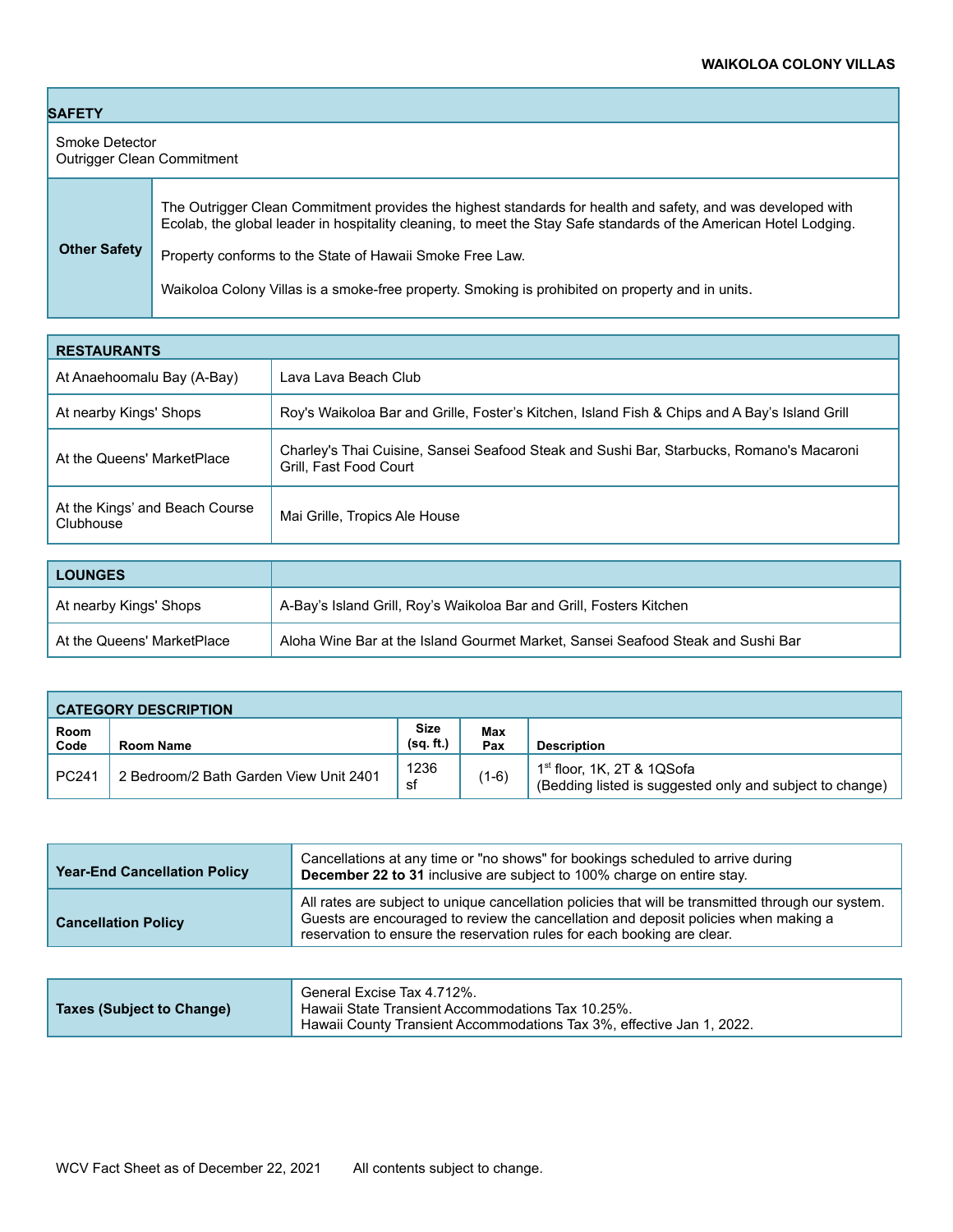| <b>SAFETY</b>                                |                                                                                                                                                                                                                                                                                              |  |
|----------------------------------------------|----------------------------------------------------------------------------------------------------------------------------------------------------------------------------------------------------------------------------------------------------------------------------------------------|--|
| Smoke Detector<br>Outrigger Clean Commitment |                                                                                                                                                                                                                                                                                              |  |
| <b>Other Safety</b>                          | The Outrigger Clean Commitment provides the highest standards for health and safety, and was developed with<br>Ecolab, the global leader in hospitality cleaning, to meet the Stay Safe standards of the American Hotel Lodging.<br>Property conforms to the State of Hawaii Smoke Free Law. |  |
|                                              | Waikoloa Colony Villas is a smoke-free property. Smoking is prohibited on property and in units.                                                                                                                                                                                             |  |

| <b>RESTAURANTS</b>                          |                                                                                                                    |  |
|---------------------------------------------|--------------------------------------------------------------------------------------------------------------------|--|
| At Anaehoomalu Bay (A-Bay)                  | Lava Lava Beach Club                                                                                               |  |
| At nearby Kings' Shops                      | Roy's Waikoloa Bar and Grille, Foster's Kitchen, Island Fish & Chips and A Bay's Island Grill                      |  |
| At the Queens' MarketPlace                  | Charley's Thai Cuisine, Sansei Seafood Steak and Sushi Bar, Starbucks, Romano's Macaroni<br>Grill, Fast Food Court |  |
| At the Kings' and Beach Course<br>Clubhouse | Mai Grille, Tropics Ale House                                                                                      |  |

| <b>LOUNGES</b>             |                                                                                 |
|----------------------------|---------------------------------------------------------------------------------|
| At nearby Kings' Shops     | A-Bay's Island Grill, Roy's Waikoloa Bar and Grill, Fosters Kitchen             |
| At the Queens' MarketPlace | Aloha Wine Bar at the Island Gourmet Market, Sansei Seafood Steak and Sushi Bar |

| <b>CATEGORY DESCRIPTION</b> |                                        |                          |            |                                                                                                    |
|-----------------------------|----------------------------------------|--------------------------|------------|----------------------------------------------------------------------------------------------------|
| Room<br>Code                | Room Name                              | <b>Size</b><br>(sq. ft.) | Max<br>Pax | <b>Description</b>                                                                                 |
| PC241                       | 2 Bedroom/2 Bath Garden View Unit 2401 | 1236<br>sf               | $(1-6)$    | 1 <sup>st</sup> floor, 1K, 2T & 1QSofa<br>(Bedding listed is suggested only and subject to change) |

| <b>Year-End Cancellation Policy</b> | Cancellations at any time or "no shows" for bookings scheduled to arrive during<br>December 22 to 31 inclusive are subject to 100% charge on entire stay.                                                                                                            |
|-------------------------------------|----------------------------------------------------------------------------------------------------------------------------------------------------------------------------------------------------------------------------------------------------------------------|
| <b>Cancellation Policy</b>          | All rates are subject to unique cancellation policies that will be transmitted through our system.<br>Guests are encouraged to review the cancellation and deposit policies when making a<br>reservation to ensure the reservation rules for each booking are clear. |

| Taxes (Subject to Change) | General Excise Tax 4.712%.<br>Hawaii State Transient Accommodations Tax 10.25%. |
|---------------------------|---------------------------------------------------------------------------------|
|                           | Hawaii County Transient Accommodations Tax 3%, effective Jan 1, 2022.           |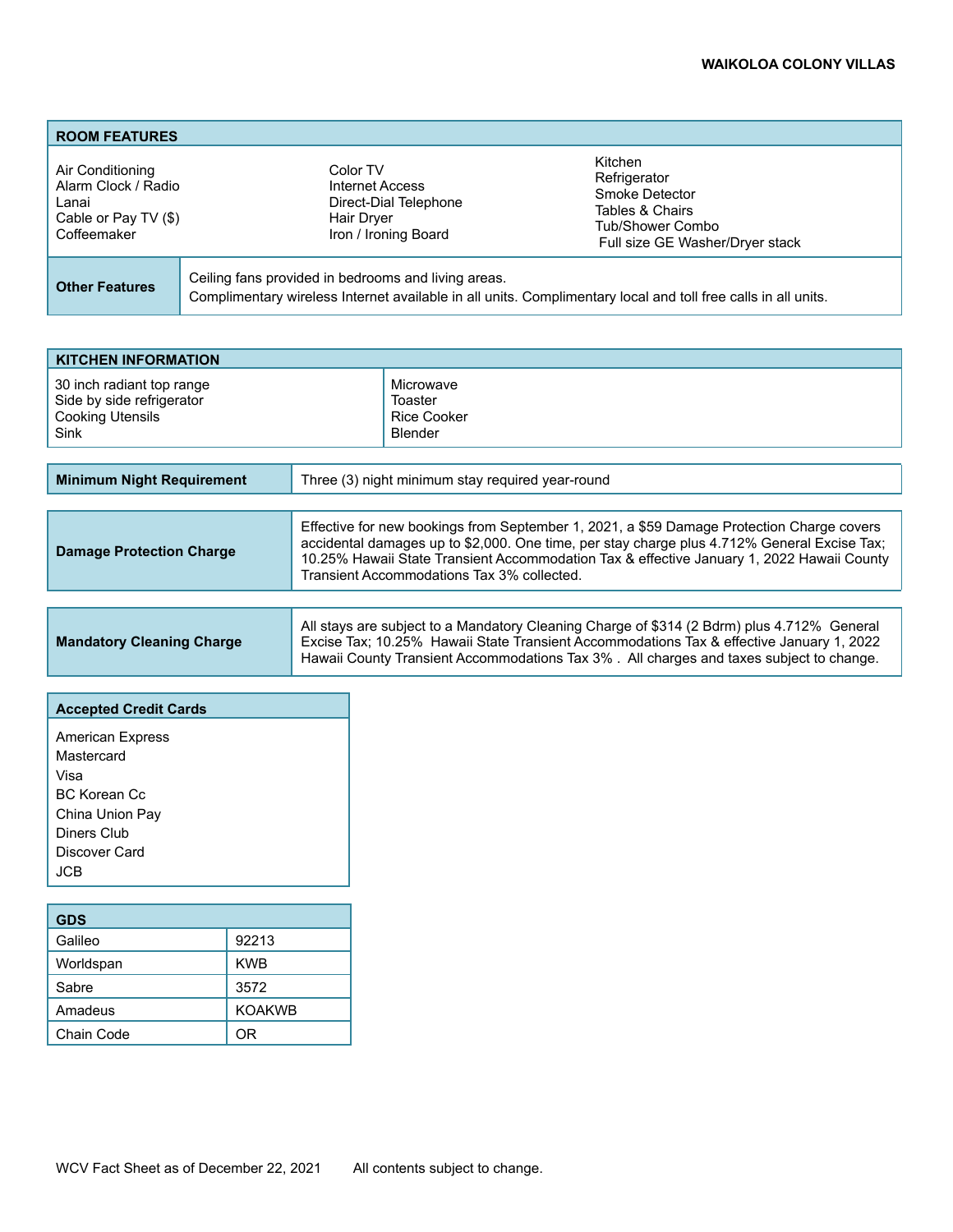# **WAIKOLOA COLONY VILLAS**

| <b>ROOM FEATURES</b>                                                                    |                                                                                                                                                                      |                                                                                                                     |
|-----------------------------------------------------------------------------------------|----------------------------------------------------------------------------------------------------------------------------------------------------------------------|---------------------------------------------------------------------------------------------------------------------|
| Air Conditioning<br>Alarm Clock / Radio<br>Lanai<br>Cable or Pay TV (\$)<br>Coffeemaker | Color TV<br>Internet Access<br>Direct-Dial Telephone<br>Hair Dryer<br>Iron / Ironing Board                                                                           | Kitchen<br>Refrigerator<br>Smoke Detector<br>Tables & Chairs<br>Tub/Shower Combo<br>Full size GE Washer/Dryer stack |
| <b>Other Features</b>                                                                   | Ceiling fans provided in bedrooms and living areas.<br>Complimentary wireless Internet available in all units. Complimentary local and toll free calls in all units. |                                                                                                                     |

| <b>KITCHEN INFORMATION</b> |                    |  |
|----------------------------|--------------------|--|
| 30 inch radiant top range  | Microwave          |  |
| Side by side refrigerator  | Toaster            |  |
| <b>Cooking Utensils</b>    | <b>Rice Cooker</b> |  |
| Sink                       | Blender            |  |

| <b>Minimum Night Requirement</b> | Three (3) night minimum stay required year-round                                                                                                                                                                                                                                                                                    |
|----------------------------------|-------------------------------------------------------------------------------------------------------------------------------------------------------------------------------------------------------------------------------------------------------------------------------------------------------------------------------------|
| <b>Damage Protection Charge</b>  | Effective for new bookings from September 1, 2021, a \$59 Damage Protection Charge covers<br>accidental damages up to \$2,000. One time, per stay charge plus 4.712% General Excise Tax;<br>10.25% Hawaii State Transient Accommodation Tax & effective January 1, 2022 Hawaii County<br>Transient Accommodations Tax 3% collected. |
|                                  |                                                                                                                                                                                                                                                                                                                                     |

|                                  | All stays are subject to a Mandatory Cleaning Charge of \$314 (2 Bdrm) plus 4.712% General |  |
|----------------------------------|--------------------------------------------------------------------------------------------|--|
| <b>Mandatory Cleaning Charge</b> | Excise Tax; 10.25% Hawaii State Transient Accommodations Tax & effective January 1, 2022   |  |
|                                  | Hawaii County Transient Accommodations Tax 3%. All charges and taxes subject to change.    |  |

| <b>Accepted Credit Cards</b> |  |  |
|------------------------------|--|--|
| <b>American Express</b>      |  |  |
| Mastercard                   |  |  |
| Visa                         |  |  |
| <b>BC Korean Cc</b>          |  |  |
| China Union Pay              |  |  |
| Diners Club                  |  |  |
| Discover Card                |  |  |
| JCB.                         |  |  |
|                              |  |  |

| <b>GDS</b> |               |  |
|------------|---------------|--|
| Galileo    | 92213         |  |
| Worldspan  | <b>KWB</b>    |  |
| Sabre      | 3572          |  |
| Amadeus    | <b>KOAKWB</b> |  |
| Chain Code | ΩR            |  |

┱